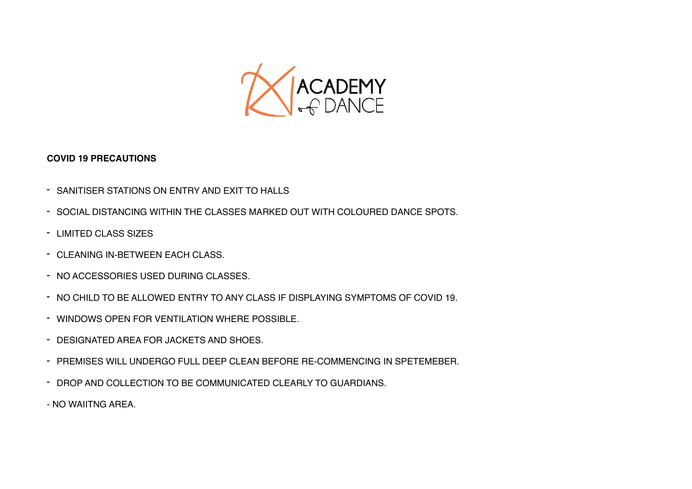

## **COVID 19 PRECAUTIONS**

- SANITISER STATIONS ON ENTRY AND EXIT TO HALLS
- SOCIAL DISTANCING WITHIN THE CLASSES MARKED OUT WITH COLOURED DANCE SPOTS.
- LIMITED CLASS SIZES
- CLEANING IN-BETWEEN EACH CLASS.
- NO ACCESSORIES USED DURING CLASSES.
- NO CHILD TO BE ALLOWED ENTRY TO ANY CLASS IF DISPLAYING SYMPTOMS OF COVID 19.
- WINDOWS OPEN FOR VENTILATION WHERE POSSIBLE.
- DESIGNATED AREA FOR JACKETS AND SHOES.
- PREMISES WILL UNDERGO FULL DEEP CLEAN BEFORE RE-COMMENCING IN SPETEMEBER.
- DROP AND COLLECTION TO BE COMMUNICATED CLEARLY TO GUARDIANS.
- NO WAIITNG AREA.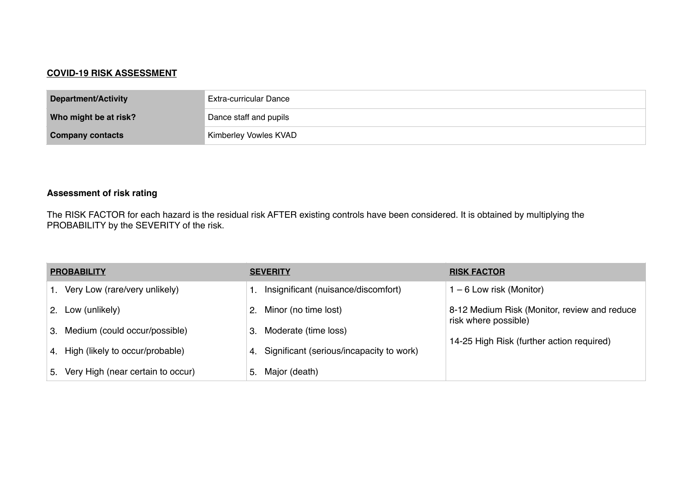## **COVID-19 RISK ASSESSMENT**

| Department/Activity     | <b>Extra-curricular Dance</b> |
|-------------------------|-------------------------------|
| Who might be at risk?   | Dance staff and pupils        |
| <b>Company contacts</b> | Kimberley Vowles KVAD         |

## **Assessment of risk rating**

The RISK FACTOR for each hazard is the residual risk AFTER existing controls have been considered. It is obtained by multiplying the PROBABILITY by the SEVERITY of the risk.

| <b>PROBABILITY</b> |                                      | <b>SEVERITY</b> |                                             | <b>RISK FACTOR</b>                                                   |  |
|--------------------|--------------------------------------|-----------------|---------------------------------------------|----------------------------------------------------------------------|--|
|                    | 1. Very Low (rare/very unlikely)     |                 | 1. Insignificant (nuisance/discomfort)      | $-6$ Low risk (Monitor)                                              |  |
|                    | 2. Low (unlikely)                    |                 | 2. Minor (no time lost)                     | 8-12 Medium Risk (Monitor, review and reduce<br>risk where possible) |  |
|                    | 3. Medium (could occur/possible)     | 3.              | Moderate (time loss)                        |                                                                      |  |
|                    | 4. High (likely to occur/probable)   |                 | 4. Significant (serious/incapacity to work) | 14-25 High Risk (further action required)                            |  |
|                    | 5. Very High (near certain to occur) | 5.              | Major (death)                               |                                                                      |  |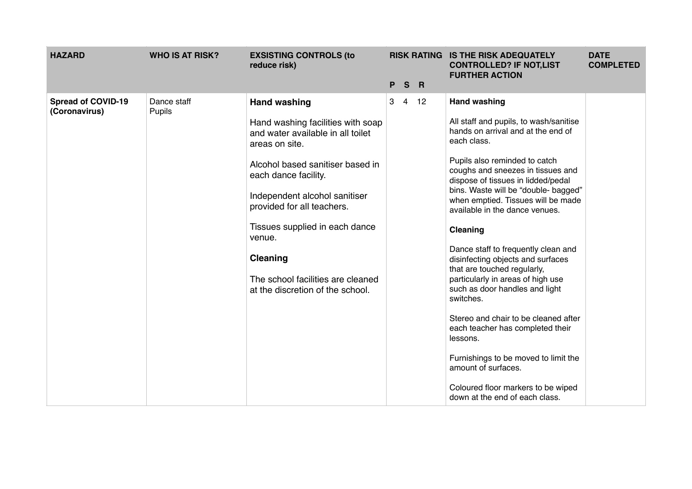| <b>HAZARD</b>                              | <b>WHO IS AT RISK?</b> | <b>EXSISTING CONTROLS (to</b><br>reduce risk)                                                                                                                                                                                                                                                                                                                                      |                     |                | RISK RATING IS THE RISK ADEQUATELY<br><b>CONTROLLED? IF NOT,LIST</b><br><b>FURTHER ACTION</b>                                                                                                                                                                                                                                                                                                                                                                                                                                                                                                                                                                                                                                                                                            | <b>DATE</b><br><b>COMPLETED</b> |
|--------------------------------------------|------------------------|------------------------------------------------------------------------------------------------------------------------------------------------------------------------------------------------------------------------------------------------------------------------------------------------------------------------------------------------------------------------------------|---------------------|----------------|------------------------------------------------------------------------------------------------------------------------------------------------------------------------------------------------------------------------------------------------------------------------------------------------------------------------------------------------------------------------------------------------------------------------------------------------------------------------------------------------------------------------------------------------------------------------------------------------------------------------------------------------------------------------------------------------------------------------------------------------------------------------------------------|---------------------------------|
|                                            |                        |                                                                                                                                                                                                                                                                                                                                                                                    | P                   | S <sub>R</sub> |                                                                                                                                                                                                                                                                                                                                                                                                                                                                                                                                                                                                                                                                                                                                                                                          |                                 |
| <b>Spread of COVID-19</b><br>(Coronavirus) | Dance staff<br>Pupils  | <b>Hand washing</b><br>Hand washing facilities with soap<br>and water available in all toilet<br>areas on site.<br>Alcohol based sanitiser based in<br>each dance facility.<br>Independent alcohol sanitiser<br>provided for all teachers.<br>Tissues supplied in each dance<br>venue.<br><b>Cleaning</b><br>The school facilities are cleaned<br>at the discretion of the school. | 3<br>$\overline{4}$ | 12             | <b>Hand washing</b><br>All staff and pupils, to wash/sanitise<br>hands on arrival and at the end of<br>each class.<br>Pupils also reminded to catch<br>coughs and sneezes in tissues and<br>dispose of tissues in lidded/pedal<br>bins. Waste will be "double- bagged"<br>when emptied. Tissues will be made<br>available in the dance venues.<br>Cleaning<br>Dance staff to frequently clean and<br>disinfecting objects and surfaces<br>that are touched regularly,<br>particularly in areas of high use<br>such as door handles and light<br>switches.<br>Stereo and chair to be cleaned after<br>each teacher has completed their<br>lessons.<br>Furnishings to be moved to limit the<br>amount of surfaces.<br>Coloured floor markers to be wiped<br>down at the end of each class. |                                 |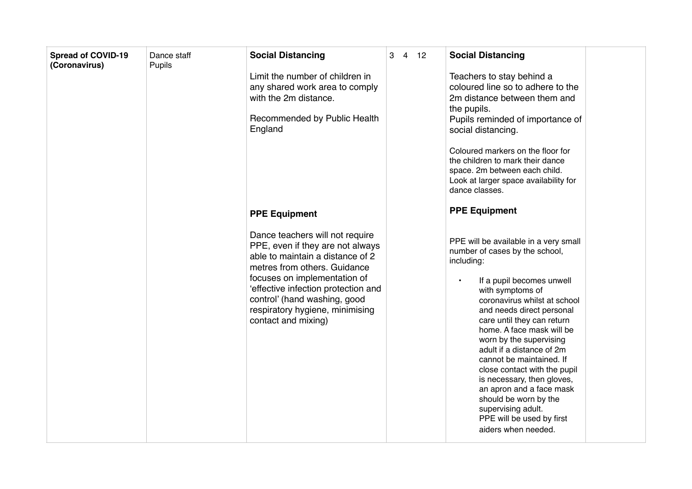| <b>Spread of COVID-19</b><br>(Coronavirus) | Dance staff<br>Pupils | <b>Social Distancing</b><br>Limit the number of children in<br>any shared work area to comply<br>with the 2m distance.<br>Recommended by Public Health<br>England                                                                                                                                        | $3 \quad 4 \quad 12$ | <b>Social Distancing</b><br>Teachers to stay behind a<br>coloured line so to adhere to the<br>2m distance between them and<br>the pupils.<br>Pupils reminded of importance of<br>social distancing.<br>Coloured markers on the floor for<br>the children to mark their dance                                                                                                                                                                                                                                                                                 |
|--------------------------------------------|-----------------------|----------------------------------------------------------------------------------------------------------------------------------------------------------------------------------------------------------------------------------------------------------------------------------------------------------|----------------------|--------------------------------------------------------------------------------------------------------------------------------------------------------------------------------------------------------------------------------------------------------------------------------------------------------------------------------------------------------------------------------------------------------------------------------------------------------------------------------------------------------------------------------------------------------------|
|                                            |                       |                                                                                                                                                                                                                                                                                                          |                      | space. 2m between each child.<br>Look at larger space availability for<br>dance classes.                                                                                                                                                                                                                                                                                                                                                                                                                                                                     |
|                                            |                       | <b>PPE Equipment</b>                                                                                                                                                                                                                                                                                     |                      | <b>PPE Equipment</b>                                                                                                                                                                                                                                                                                                                                                                                                                                                                                                                                         |
|                                            |                       | Dance teachers will not require<br>PPE, even if they are not always<br>able to maintain a distance of 2<br>metres from others. Guidance<br>focuses on implementation of<br>'effective infection protection and<br>control' (hand washing, good<br>respiratory hygiene, minimising<br>contact and mixing) |                      | PPE will be available in a very small<br>number of cases by the school,<br>including:<br>If a pupil becomes unwell<br>$\bullet$<br>with symptoms of<br>coronavirus whilst at school<br>and needs direct personal<br>care until they can return<br>home. A face mask will be<br>worn by the supervising<br>adult if a distance of 2m<br>cannot be maintained. If<br>close contact with the pupil<br>is necessary, then gloves,<br>an apron and a face mask<br>should be worn by the<br>supervising adult.<br>PPE will be used by first<br>aiders when needed. |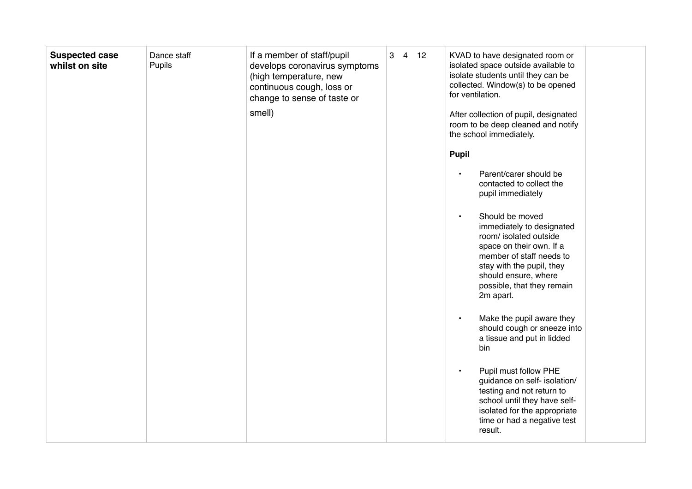| <b>Suspected case</b><br>whilst on site | Dance staff<br>Pupils | If a member of staff/pupil<br>develops coronavirus symptoms<br>(high temperature, new<br>continuous cough, loss or<br>change to sense of taste or<br>smell) | $3 \quad 4 \quad 12$ | KVAD to have designated room or<br>isolated space outside available to<br>isolate students until they can be<br>collected. Window(s) to be opened<br>for ventilation.<br>After collection of pupil, designated<br>room to be deep cleaned and notify<br>the school immediately.                                        |
|-----------------------------------------|-----------------------|-------------------------------------------------------------------------------------------------------------------------------------------------------------|----------------------|------------------------------------------------------------------------------------------------------------------------------------------------------------------------------------------------------------------------------------------------------------------------------------------------------------------------|
|                                         |                       |                                                                                                                                                             |                      | <b>Pupil</b>                                                                                                                                                                                                                                                                                                           |
|                                         |                       |                                                                                                                                                             |                      | Parent/carer should be<br>contacted to collect the<br>pupil immediately<br>Should be moved<br>$\bullet$<br>immediately to designated<br>room/ isolated outside<br>space on their own. If a<br>member of staff needs to<br>stay with the pupil, they<br>should ensure, where<br>possible, that they remain<br>2m apart. |
|                                         |                       |                                                                                                                                                             |                      | Make the pupil aware they<br>$\bullet$<br>should cough or sneeze into<br>a tissue and put in lidded<br>bin                                                                                                                                                                                                             |
|                                         |                       |                                                                                                                                                             |                      | Pupil must follow PHE<br>$\bullet$<br>guidance on self- isolation/<br>testing and not return to<br>school until they have self-<br>isolated for the appropriate<br>time or had a negative test<br>result.                                                                                                              |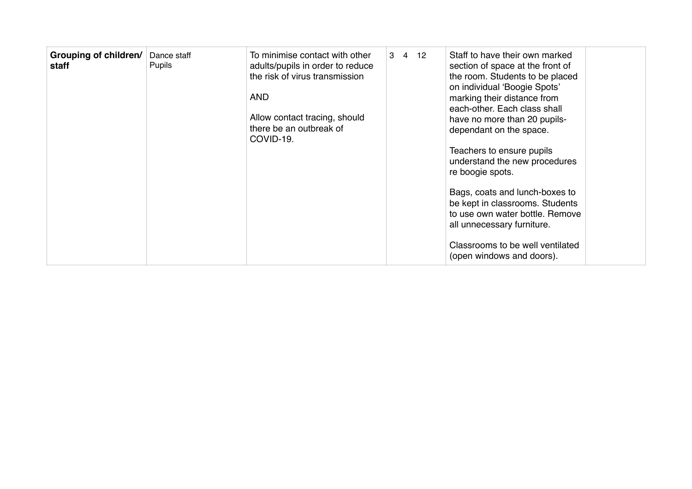| Grouping of children/<br>staff | Dance staff<br><b>Pupils</b> | To minimise contact with other<br>adults/pupils in order to reduce<br>the risk of virus transmission<br><b>AND</b><br>Allow contact tracing, should<br>there be an outbreak of<br>COVID-19. | 3 4 12 |  | Staff to have their own marked<br>section of space at the front of<br>the room. Students to be placed<br>on individual 'Boogie Spots'<br>marking their distance from<br>each-other. Each class shall<br>have no more than 20 pupils-<br>dependant on the space.<br>Teachers to ensure pupils<br>understand the new procedures<br>re boogie spots.<br>Bags, coats and lunch-boxes to<br>be kept in classrooms. Students<br>to use own water bottle. Remove<br>all unnecessary furniture.<br>Classrooms to be well ventilated<br>(open windows and doors). |
|--------------------------------|------------------------------|---------------------------------------------------------------------------------------------------------------------------------------------------------------------------------------------|--------|--|----------------------------------------------------------------------------------------------------------------------------------------------------------------------------------------------------------------------------------------------------------------------------------------------------------------------------------------------------------------------------------------------------------------------------------------------------------------------------------------------------------------------------------------------------------|
|--------------------------------|------------------------------|---------------------------------------------------------------------------------------------------------------------------------------------------------------------------------------------|--------|--|----------------------------------------------------------------------------------------------------------------------------------------------------------------------------------------------------------------------------------------------------------------------------------------------------------------------------------------------------------------------------------------------------------------------------------------------------------------------------------------------------------------------------------------------------------|